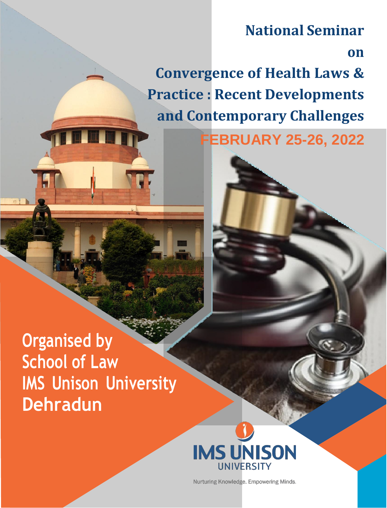# **National Seminar**

**on**

**Convergence of Health Laws & Practice : Recent Developments and Contemporary Challenges**

**FEBRUARY 25-26, 2022**





Nurturing Knowledge. Empowering Minds.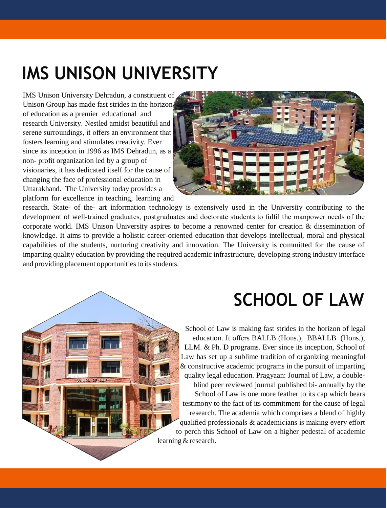# **IMS UNISON UNIVERSITY**

IMS Unison University Dehradun, a constituent of Unison Group has made fast strides in the horizon of education as a premier educational and research University. Nestled amidst beautiful and serene surroundings, it offers an environment that fosters learning and stimulates creativity. Ever since its inception in 1996 as IMS Dehradun, as a non- profit organization led by a group of visionaries, it has dedicated itself for the cause of changing the face of professional education in Uttarakhand. The University today provides a platform for excellence in teaching, learning and



research. State- of the- art information technology is extensively used in the University contributing to the development of well-trained graduates, postgraduates and doctorate students to fulfil the manpower needs of the corporate world. IMS Unison University aspires to become a renowned center for creation & dissemination of knowledge. It aims to provide a holistic career-oriented education that develops intellectual, moral and physical capabilities of the students, nurturing creativity and innovation. The University is committed for the cause of imparting quality education by providing the required academic infrastructure, developing strong industry interface and providing placement opportunities to its students.

# **SCHOOL OF LAW**

School of Law is making fast strides in the horizon of legal education. It offers BALLB (Hons.), BBALLB (Hons.), LLM. & Ph. D programs. Ever since its inception, School of Law has set up a sublime tradition of organizing meaningful & constructive academic programs in the pursuit of imparting quality legal education. Pragyaan: Journal of Law, a doubleblind peer reviewed journal published bi- annually by the School of Law is one more feather to its cap which bears testimony to the fact of its commitment for the cause of legal research. The academia which comprises a blend of highly qualified professionals & academicians is making every effort to perch this School of Law on a higher pedestal of academic learning & research.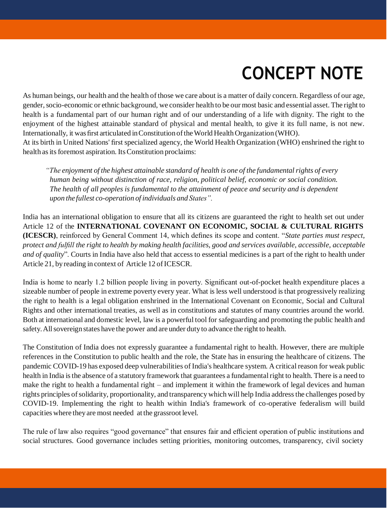# **CONCEPT NOTE**

As human beings, our health and the health ofthose we care about is a matter of daily concern. Regardless of our age, gender, socio-economic or ethnic background, we consider health to be our most basic and essential asset. The right to health is a fundamental part of our human right and of our understanding of a life with dignity. The right to the enjoyment of the highest attainable standard of physical and mental health, to give it its full name, is not new. Internationally, it was first articulated in Constitution of the World Health Organization (WHO). At its birth in United Nations' first specialized agency, the World Health Organization (WHO) enshrined the right to health as its foremost aspiration. Its Constitution proclaims:

*"The enjoyment of the highest attainable standard of health is one of the fundamentalrights of every human being without distinction of race, religion, political belief, economic or social condition. The health of all peoples is fundamental to the attainment of peace and security and is dependent upon the fullest co-operation of individuals and States".*

India has an international obligation to ensure that all its citizens are guaranteed the right to health set out under Article 12 of the **INTERNATIONAL COVENANT ON ECONOMIC, SOCIAL & CULTURAL RIGHTS (ICESCR)**, reinforced by General Comment 14, which defines its scope and content. "*State parties must respect,* protect and fulfill the right to health by making health facilities, good and services available, accessible, acceptable *and of quality*". Courts in India have also held that access to essential medicines is a part of the right to health under Article 21, by reading in context of Article 12 of ICESCR.

India is home to nearly 1.2 billion people living in poverty. Significant out-of-pocket health expenditure places a sizeable number of people in extreme poverty every year. What is less well understood isthat progressively realizing the right to health is a legal obligation enshrined in the International Covenant on Economic, Social and Cultural Rights and other international treaties, as well as in constitutions and statutes of many countries around the world. Both at international and domestic level, law is a powerful tool for safeguarding and promoting the public health and safety. All sovereign states have the power and are under duty to advance the right to health.

The Constitution of India does not expressly guarantee a fundamental right to health. However, there are multiple references in the Constitution to public health and the role, the State has in ensuring the healthcare of citizens. The pandemic COVID-19 has exposed deep vulnerabilities of India's healthcare system. A critical reason for weak public health in India is the absence of a statutory framework that guarantees a fundamental right to health. There is a need to make the right to health a fundamental right – and implement it within the framework of legal devices and human rights principles ofsolidarity, proportionality, and transparency which will help India addressthe challenges posed by COVID-19. Implementing the right to health within India's framework of co-operative federalism will build capacities where theyare most needed at the grassroot level.

The rule of law also requires "good governance" that ensures fair and efficient operation of public institutions and social structures. Good governance includes setting priorities, monitoring outcomes, transparency, civil society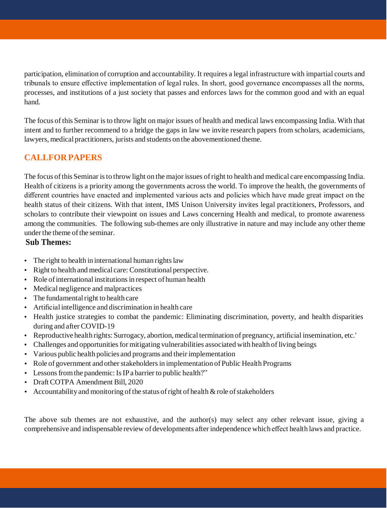participation, elimination of corruption and accountability. It requires a legal infrastructure with impartial courts and tribunals to ensure effective implementation of legal rules. In short, good governance encompasses all the norms, processes, and institutions of a just society that passes and enforces laws for the common good and with an equal hand.

The focus ofthis Seminar isto throw light on major issues of health and medical laws encompassing India. With that intent and to further recommend to a bridge the gaps in law we invite research papers from scholars, academicians, lawyers, medical practitioners, jurists and students on the abovementioned theme.

# **CALLFOR PAPERS**

The focus ofthis Seminar isto throw light on the major issues ofright to health and medical care encompassing India. Health of citizens is a priority among the governments across the world. To improve the health, the governments of different countries have enacted and implemented various acts and policies which have made great impact on the health status of their citizens. With that intent, IMS Unison University invites legal practitioners, Professors, and scholars to contribute their viewpoint on issues and Laws concerning Health and medical, to promote awareness among the communities. The following sub-themes are only illustrative in nature and may include any other theme under the theme of the seminar.

#### **Sub Themes:**

- The right to health in international human rights law
- Right to health and medical care:Constitutional perspective.
- Role of international institutions in respect of human health
- Medical negligence and malpractices
- $\cdot$  The fundamental right to health care
- Artificial intelligence and discrimination in health care
- Health justice strategies to combat the pandemic: Eliminating discrimination, poverty, and health disparities during and after COVID-19
- Reproductive health rights: Surrogacy, abortion, medical termination of pregnancy, artificial insemination, etc.'
- Challenges and opportunities for mitigating vulnerabilities associated with health of living beings
- Various public health policies and programs and their implementation
- Role of government and other stakeholders in implementation of Public Health Programs
- Lessons from the pandemic: Is IP a barrier to public health?"
- Draft COTPA Amendment Bill, 2020
- Accountability and monitoring of the status of right of health  $\&$  role of stakeholders

The above sub themes are not exhaustive, and the author(s) may select any other relevant issue, giving a comprehensive and indispensable review of developments after independence which effect health laws and practice.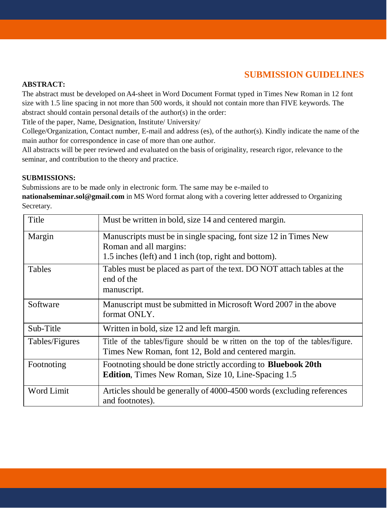# **SUBMISSION GUIDELINES**

#### **ABSTRACT:**

The abstract must be developed on A4-sheet in Word Document Format typed in Times New Roman in 12 font size with 1.5 line spacing in not more than 500 words, it should not contain more than FIVE keywords. The abstract should contain personal details of the author(s) in the order:

Title of the paper, Name, Designation, Institute/ University/

College/Organization, Contact number, E-mail and address (es), of the author(s). Kindly indicate the name of the main author for correspondence in case of more than one author.

All abstracts will be peer reviewed and evaluated on the basis of originality, research rigor, relevance to the seminar, and contribution to the theory and practice.

#### **SUBMISSIONS:**

Submissions are to be made only in electronic form. The same may be e-mailed to

**[nationalseminar.sol@gmail](mailto:nationalseminar.iuu2021@gmail.com)**.**com** in MS Word format along with a covering letter addressed to Organizing Secretary.

| Title             | Must be written in bold, size 14 and centered margin.                                                                                               |
|-------------------|-----------------------------------------------------------------------------------------------------------------------------------------------------|
| Margin            | Manuscripts must be in single spacing, font size 12 in Times New<br>Roman and all margins:<br>1.5 inches (left) and 1 inch (top, right and bottom). |
| Tables            | Tables must be placed as part of the text. DO NOT attach tables at the<br>end of the<br>manuscript.                                                 |
| Software          | Manuscript must be submitted in Microsoft Word 2007 in the above<br>format ONLY.                                                                    |
| Sub-Title         | Written in bold, size 12 and left margin.                                                                                                           |
| Tables/Figures    | Title of the tables/figure should be written on the top of the tables/figure.<br>Times New Roman, font 12, Bold and centered margin.                |
| Footnoting        | Footnoting should be done strictly according to <b>Bluebook 20th</b><br><b>Edition</b> , Times New Roman, Size 10, Line-Spacing 1.5                 |
| <b>Word Limit</b> | Articles should be generally of 4000-4500 words (excluding references<br>and footnotes).                                                            |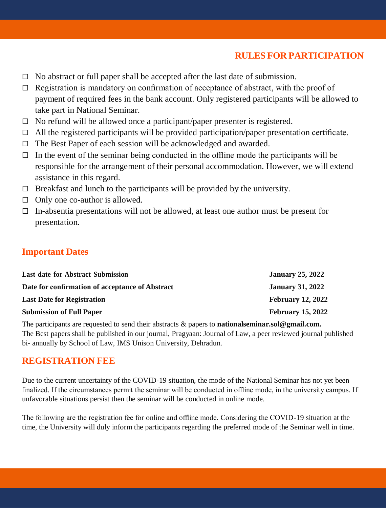# **RULES FOR PARTICIPATION**

- $\Box$  No abstract or full paper shall be accepted after the last date of submission.
- $\Box$  Registration is mandatory on confirmation of acceptance of abstract, with the proof of payment of required fees in the bank account. Only registered participants will be allowed to take part in National Seminar.
- $\Box$  No refund will be allowed once a participant/paper presenter is registered.
- $\Box$  All the registered participants will be provided participation/paper presentation certificate.
- $\Box$  The Best Paper of each session will be acknowledged and awarded.
- $\Box$  In the event of the seminar being conducted in the offline mode the participants will be responsible for the arrangement of their personal accommodation. However, we will extend assistance in this regard.
- $\Box$  Breakfast and lunch to the participants will be provided by the university.
- $\Box$  Only one co-author is allowed.
- $\Box$  In-absentia presentations will not be allowed, at least one author must be present for presentation.

# **Important Dates**

| <b>Last date for Abstract Submission</b>        | <b>January 25, 2022</b>  |
|-------------------------------------------------|--------------------------|
| Date for confirmation of acceptance of Abstract | <b>January 31, 2022</b>  |
| <b>Last Date for Registration</b>               | <b>February 12, 2022</b> |
| <b>Submission of Full Paper</b>                 | <b>February 15, 2022</b> |

The participants are requested to send their abstracts & papers to **[nationalseminar.sol@gmail.com.](mailto:nationalseminar.801@gmail.com)** The Best papers shall be published in our journal, Pragyaan: Journal of Law, a peer reviewed journal published bi- annually by School of Law, IMS Unison University, Dehradun.

# **REGISTRATION FEE**

Due to the current uncertainty of the COVID-19 situation, the mode of the National Seminar has not yet been finalized. If the circumstances permit the seminar will be conducted in offline mode, in the university campus. If unfavorable situations persist then the seminar will be conducted in online mode.

The following are the registration fee for online and offline mode. Considering the COVID-19 situation at the time, the University will duly inform the participants regarding the preferred mode of the Seminar well in time.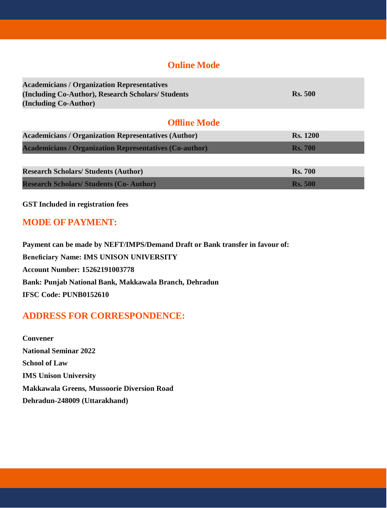# **Online Mode**

| <b>Academicians / Organization Representatives</b><br>(Including Co-Author), Research Scholars/Students<br>(Including Co-Author) | <b>Rs.</b> 500  |
|----------------------------------------------------------------------------------------------------------------------------------|-----------------|
| <b>Offline Mode</b>                                                                                                              |                 |
| <b>Academicians / Organization Representatives (Author)</b>                                                                      | <b>Rs. 1200</b> |
| <b>Academicians / Organization Representatives (Co-author)</b>                                                                   | <b>Rs.</b> 700  |
| <b>Research Scholars/Students (Author)</b>                                                                                       | <b>Rs. 700</b>  |
| <b>Research Scholars/ Students (Co- Author)</b>                                                                                  | <b>Rs.</b> 500  |

**GST Included in registration fees**

# **MODE OF PAYMENT:**

**Payment can be made by NEFT/IMPS/Demand Draft or Bank transfer in favour of: Beneficiary Name: IMS UNISON UNIVERSITY Account Number: 15262191003778 Bank: Punjab National Bank, Makkawala Branch, Dehradun IFSC Code: PUNB0152610**

# **ADDRESS FOR CORRESPONDENCE:**

**Convener National Seminar 2022 School of Law IMS Unison University Makkawala Greens, Mussoorie Diversion Road Dehradun-248009 (Uttarakhand)**